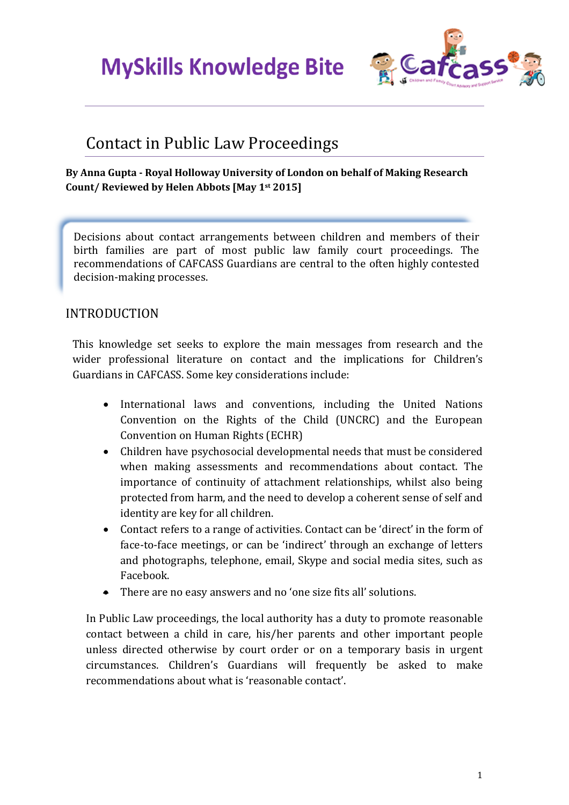

#### Contact in Public Law Proceedings

#### **By Anna Gupta - Royal Holloway University of London on behalf of Making Research Count/ Reviewed by Helen Abbots [May 1st 2015]**

Decisions about contact arrangements between children and members of their birth families are part of most public law family court proceedings. The recommendations of CAFCASS Guardians are central to the often highly contested decision-making processes.

#### INTRODUCTION

This knowledge set seeks to explore the main messages from research and the wider professional literature on contact and the implications for Children's Guardians in CAFCASS. Some key considerations include:

- International laws and conventions, including the United Nations Convention on the Rights of the Child (UNCRC) and the European Convention on Human Rights (ECHR)
- Children have psychosocial developmental needs that must be considered when making assessments and recommendations about contact. The importance of continuity of attachment relationships, whilst also being protected from harm, and the need to develop a coherent sense of self and identity are key for all children.
- Contact refers to a range of activities. Contact can be 'direct' in the form of face-to-face meetings, or can be 'indirect' through an exchange of letters and photographs, telephone, email, Skype and social media sites, such as Facebook.
- There are no easy answers and no 'one size fits all' solutions.

In Public Law proceedings, the local authority has a duty to promote reasonable contact between a child in care, his/her parents and other important people unless directed otherwise by court order or on a temporary basis in urgent circumstances. Children's Guardians will frequently be asked to make recommendations about what is 'reasonable contact'.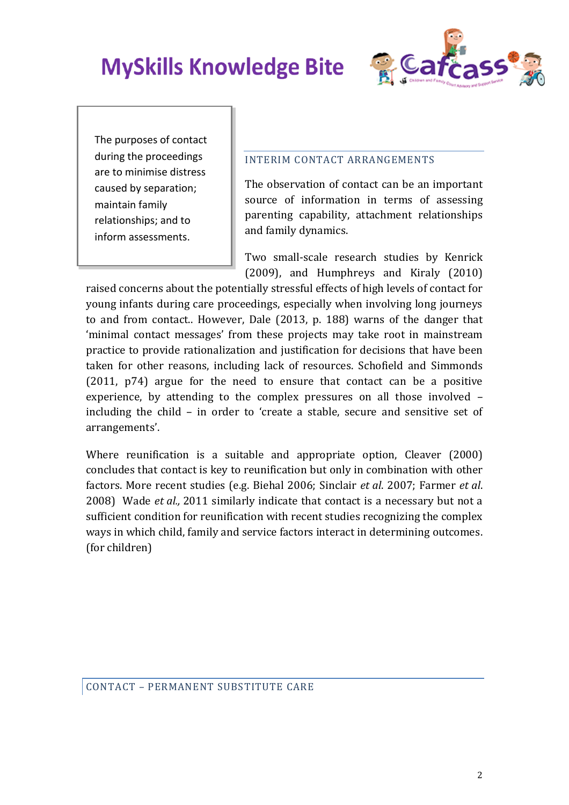

The purposes of contact during the proceedings are to minimise distress caused by separation; maintain family relationships; and to inform assessments.

#### INTERIM CONTACT ARRANGEMENTS

The observation of contact can be an important source of information in terms of assessing parenting capability, attachment relationships and family dynamics.

Two small-scale research studies by Kenrick (2009), and Humphreys and Kiraly (2010)

raised concerns about the potentially stressful effects of high levels of contact for young infants during care proceedings, especially when involving long journeys to and from contact.. However, Dale (2013, p. 188) warns of the danger that 'minimal contact messages' from these projects may take root in mainstream practice to provide rationalization and justification for decisions that have been taken for other reasons, including lack of resources. Schofield and Simmonds (2011, p74) argue for the need to ensure that contact can be a positive experience, by attending to the complex pressures on all those involved – including the child – in order to 'create a stable, secure and sensitive set of arrangements'.

Where reunification is a suitable and appropriate option, Cleaver (2000) concludes that contact is key to reunification but only in combination with other factors. More recent studies (e.g. Biehal 2006; Sinclair *et al*. 2007; Farmer *et al*. 2008) Wade *et al.,* 2011 similarly indicate that contact is a necessary but not a sufficient condition for reunification with recent studies recognizing the complex ways in which child, family and service factors interact in determining outcomes. (for children)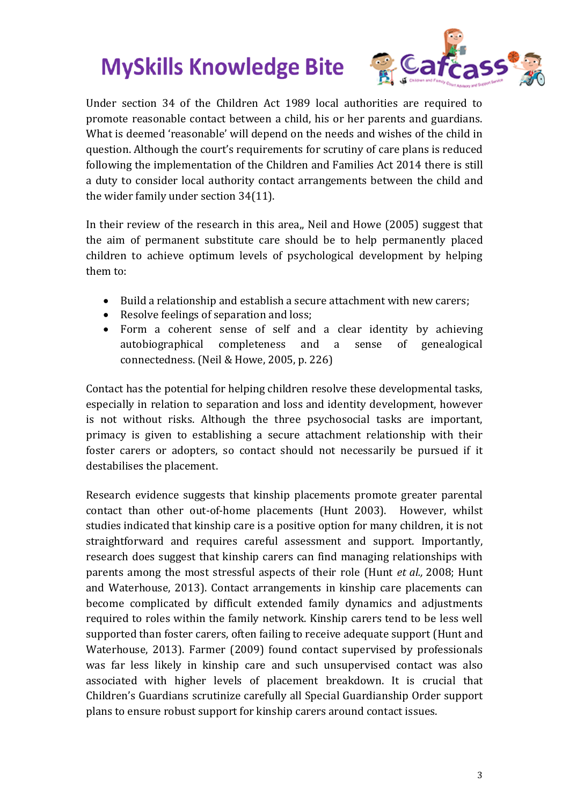

Under section 34 of the Children Act 1989 local authorities are required to promote reasonable contact between a child, his or her parents and guardians. What is deemed 'reasonable' will depend on the needs and wishes of the child in question. Although the court's requirements for scrutiny of care plans is reduced following the implementation of the Children and Families Act 2014 there is still a duty to consider local authority contact arrangements between the child and the wider family under section 34(11).

In their review of the research in this area,, Neil and Howe (2005) suggest that the aim of permanent substitute care should be to help permanently placed children to achieve optimum levels of psychological development by helping them to:

- Build a relationship and establish a secure attachment with new carers;
- Resolve feelings of separation and loss;
- Form a coherent sense of self and a clear identity by achieving autobiographical completeness and a sense of genealogical connectedness. (Neil & Howe, 2005, p. 226)

Contact has the potential for helping children resolve these developmental tasks, especially in relation to separation and loss and identity development, however is not without risks. Although the three psychosocial tasks are important, primacy is given to establishing a secure attachment relationship with their foster carers or adopters, so contact should not necessarily be pursued if it destabilises the placement.

Research evidence suggests that kinship placements promote greater parental contact than other out-of-home placements (Hunt 2003). However, whilst studies indicated that kinship care is a positive option for many children, it is not straightforward and requires careful assessment and support. Importantly, research does suggest that kinship carers can find managing relationships with parents among the most stressful aspects of their role (Hunt *et al.,* 2008; Hunt and Waterhouse, 2013). Contact arrangements in kinship care placements can become complicated by difficult extended family dynamics and adjustments required to roles within the family network. Kinship carers tend to be less well supported than foster carers, often failing to receive adequate support (Hunt and Waterhouse, 2013). Farmer (2009) found contact supervised by professionals was far less likely in kinship care and such unsupervised contact was also associated with higher levels of placement breakdown. It is crucial that Children's Guardians scrutinize carefully all Special Guardianship Order support plans to ensure robust support for kinship carers around contact issues.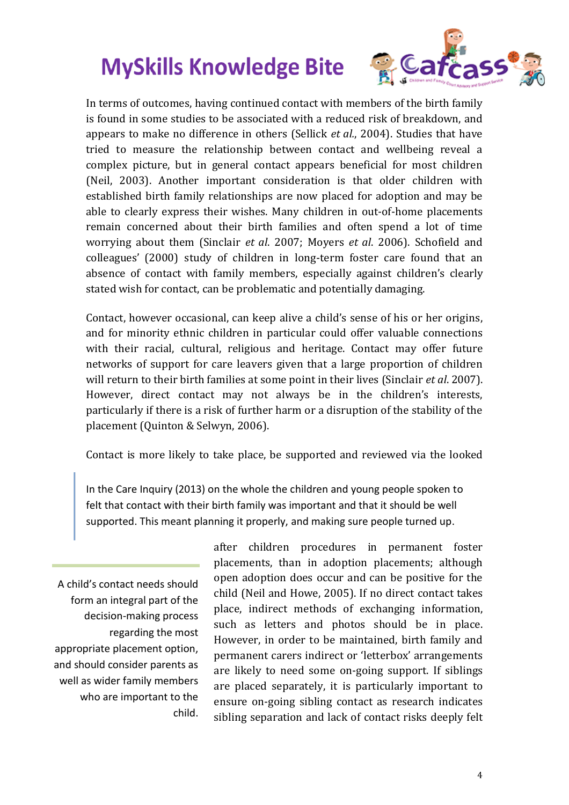

In terms of outcomes, having continued contact with members of the birth family is found in some studies to be associated with a reduced risk of breakdown, and appears to make no difference in others (Sellick *et al.*, 2004). Studies that have tried to measure the relationship between contact and wellbeing reveal a complex picture, but in general contact appears beneficial for most children (Neil, 2003). Another important consideration is that older children with established birth family relationships are now placed for adoption and may be able to clearly express their wishes. Many children in out-of-home placements remain concerned about their birth families and often spend a lot of time worrying about them (Sinclair *et al*. 2007; Moyers *et al*. 2006). Schofield and colleagues' (2000) study of children in long-term foster care found that an absence of contact with family members, especially against children's clearly stated wish for contact, can be problematic and potentially damaging.

Contact, however occasional, can keep alive a child's sense of his or her origins, and for minority ethnic children in particular could offer valuable connections with their racial, cultural, religious and heritage. Contact may offer future networks of support for care leavers given that a large proportion of children will return to their birth families at some point in their lives (Sinclair *et al*. 2007). However, direct contact may not always be in the children's interests, particularly if there is a risk of further harm or a disruption of the stability of the placement (Quinton & Selwyn, 2006).

Contact is more likely to take place, be supported and reviewed via the looked

In the Care Inquiry (2013) on the whole the children and young people spoken to felt that contact with their birth family was important and that it should be well supported. This meant planning it properly, and making sure people turned up.

A child's contact needs should form an integral part of the decision-making process regarding the most appropriate placement option, and should consider parents as well as wider family members who are important to the child.

after children procedures in permanent foster placements, than in adoption placements; although open adoption does occur and can be positive for the child (Neil and Howe, 2005). If no direct contact takes place, indirect methods of exchanging information, such as letters and photos should be in place. However, in order to be maintained, birth family and permanent carers indirect or 'letterbox' arrangements are likely to need some on-going support. If siblings are placed separately, it is particularly important to ensure on-going sibling contact as research indicates sibling separation and lack of contact risks deeply felt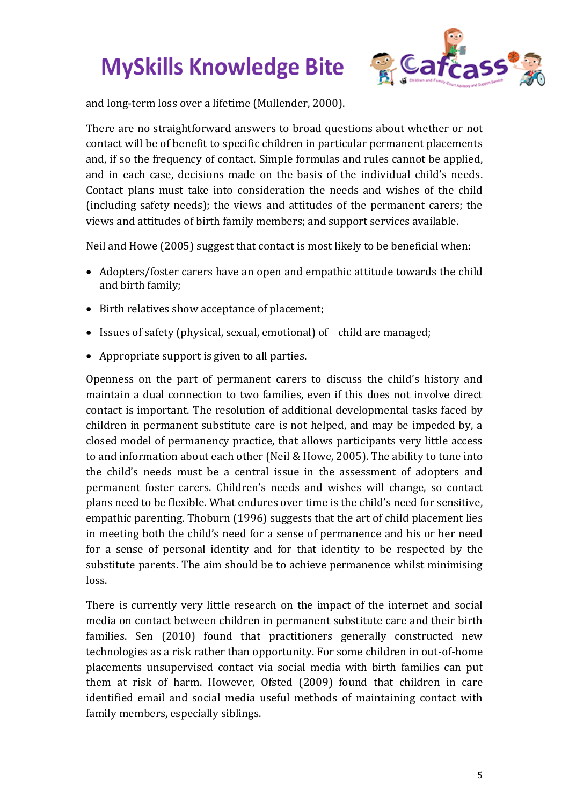

and long-term loss over a lifetime (Mullender, 2000).

There are no straightforward answers to broad questions about whether or not contact will be of benefit to specific children in particular permanent placements and, if so the frequency of contact. Simple formulas and rules cannot be applied, and in each case, decisions made on the basis of the individual child's needs. Contact plans must take into consideration the needs and wishes of the child (including safety needs); the views and attitudes of the permanent carers; the views and attitudes of birth family members; and support services available.

Neil and Howe (2005) suggest that contact is most likely to be beneficial when:

- Adopters/foster carers have an open and empathic attitude towards the child and birth family;
- Birth relatives show acceptance of placement;
- Issues of safety (physical, sexual, emotional) of child are managed;
- Appropriate support is given to all parties.

Openness on the part of permanent carers to discuss the child's history and maintain a dual connection to two families, even if this does not involve direct contact is important. The resolution of additional developmental tasks faced by children in permanent substitute care is not helped, and may be impeded by, a closed model of permanency practice, that allows participants very little access to and information about each other (Neil & Howe, 2005). The ability to tune into the child's needs must be a central issue in the assessment of adopters and permanent foster carers. Children's needs and wishes will change, so contact plans need to be flexible. What endures over time is the child's need for sensitive, empathic parenting. Thoburn (1996) suggests that the art of child placement lies in meeting both the child's need for a sense of permanence and his or her need for a sense of personal identity and for that identity to be respected by the substitute parents. The aim should be to achieve permanence whilst minimising loss.

There is currently very little research on the impact of the internet and social media on contact between children in permanent substitute care and their birth families. Sen (2010) found that practitioners generally constructed new technologies as a risk rather than opportunity. For some children in out-of-home placements unsupervised contact via social media with birth families can put them at risk of harm. However, Ofsted (2009) found that children in care identified email and social media useful methods of maintaining contact with family members, especially siblings.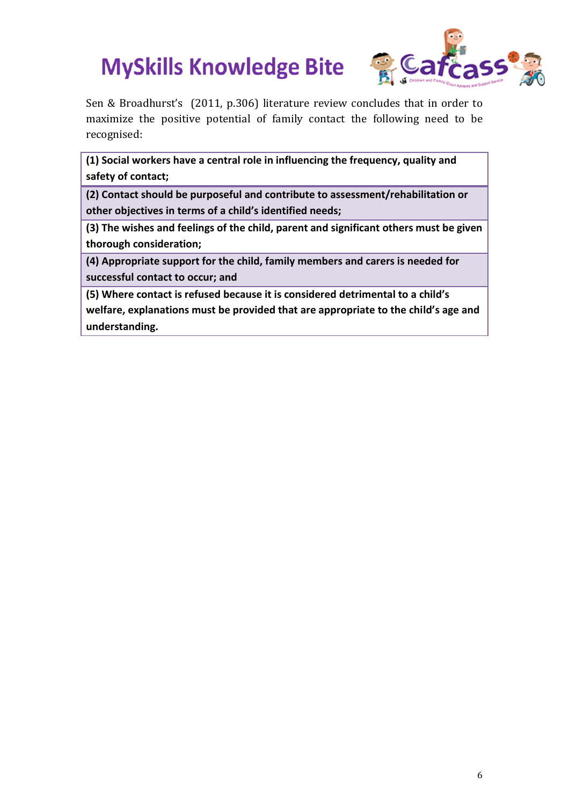

Sen & Broadhurst's (2011, p.306) literature review concludes that in order to maximize the positive potential of family contact the following need to be recognised:

**(1) Social workers have a central role in influencing the frequency, quality and safety of contact;** 

**(2) Contact should be purposeful and contribute to assessment/rehabilitation or other objectives in terms of a child's identified needs;** 

**(3) The wishes and feelings of the child, parent and significant others must be given thorough consideration;** 

**(4) Appropriate support for the child, family members and carers is needed for successful contact to occur; and** 

**(5) Where contact is refused because it is considered detrimental to a child's welfare, explanations must be provided that are appropriate to the child's age and understanding.**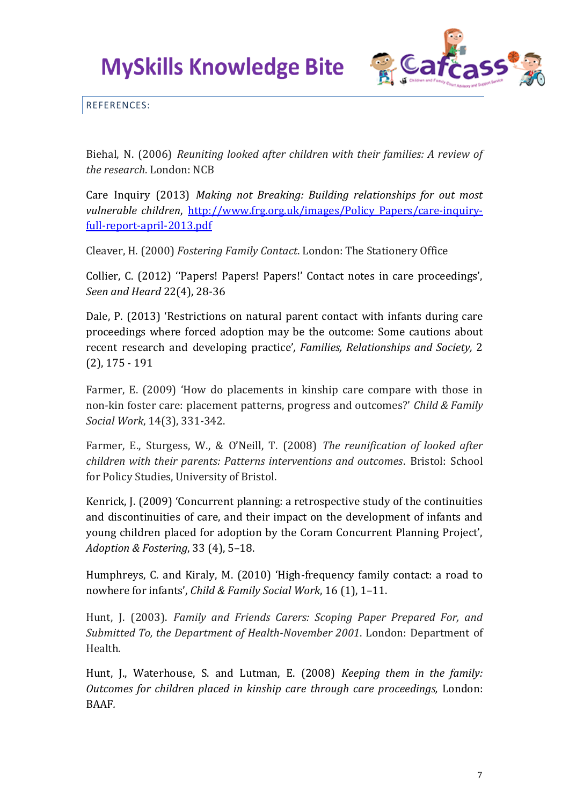

REFERENCES:

Biehal, N. (2006) *Reuniting looked after children with their families: A review of the research*. London: NCB

Care Inquiry (2013) *Making not Breaking: Building relationships for out most vulnerable children*, http://www.frg.org.uk/images/Policy Papers/care-inquiry[full-report-april-2013.pdf](http://www.frg.org.uk/images/Policy_Papers/care-inquiry-full-report-april-2013.pdf)

Cleaver, H. (2000) *Fostering Family Contact*. London: The Stationery Office

Collier, C. (2012) ''Papers! Papers! Papers!' Contact notes in care proceedings', *Seen and Heard* 22(4), 28-36

Dale, P. (2013) 'Restrictions on natural parent contact with infants during care proceedings where forced adoption may be the outcome: Some cautions about recent research and developing practice'*, Families, Relationships and Society,* 2 (2), 175 - 191

Farmer, E. (2009) 'How do placements in kinship care compare with those in non‐kin foster care: placement patterns, progress and outcomes?' *Child & Family Social Work*, 14(3), 331-342.

Farmer, E., Sturgess, W., & O'Neill, T. (2008) *The reunification of looked after children with their parents: Patterns interventions and outcomes*. Bristol: School for Policy Studies, University of Bristol.

Kenrick, J. (2009) 'Concurrent planning: a retrospective study of the continuities and discontinuities of care, and their impact on the development of infants and young children placed for adoption by the Coram Concurrent Planning Project', *Adoption & Fostering*, 33 (4), 5–18.

Humphreys, C. and Kiraly, M. (2010) 'High-frequency family contact: a road to nowhere for infants', *Child & Family Social Work*, 16 (1), 1–11.

Hunt, J. (2003). *Family and Friends Carers: Scoping Paper Prepared For, and Submitted To, the Department of Health-November 2001*. London: Department of Health.

Hunt, J., Waterhouse, S. and Lutman, E. (2008) *Keeping them in the family: Outcomes for children placed in kinship care through care proceedings,* London: BAAF*.*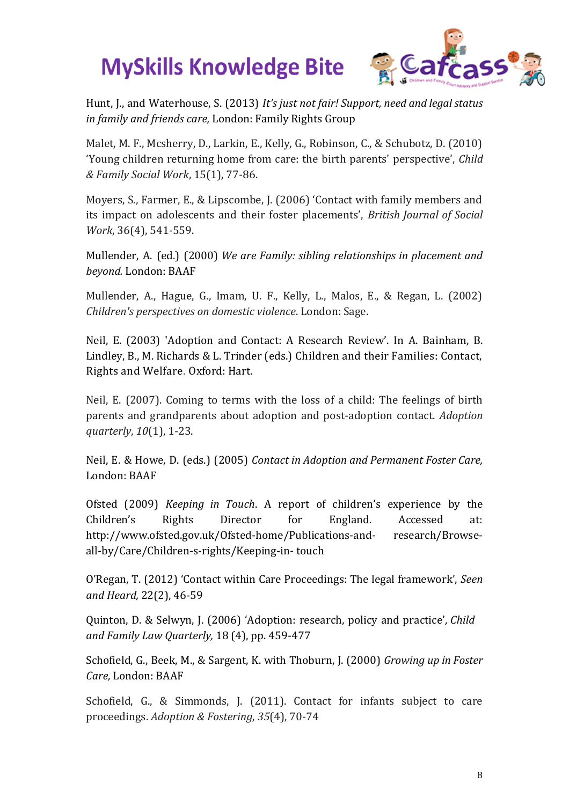

Hunt, J., and Waterhouse, S. (2013) *It's just not fair! Support, need and legal status in family and friends care,* London: Family Rights Group

Malet, M. F., Mcsherry, D., Larkin, E., Kelly, G., Robinson, C., & Schubotz, D. (2010) 'Young children returning home from care: the birth parents' perspective', *Child & Family Social Work*, 15(1), 77-86.

Moyers, S., Farmer, E., & Lipscombe, J. (2006) 'Contact with family members and its impact on adolescents and their foster placements', *British Journal of Social Work*, 36(4), 541-559.

Mullender, A. (ed.) (2000) *We are Family: sibling relationships in placement and beyond.* London: BAAF

Mullender, A., Hague, G., Imam, U. F., Kelly, L., Malos, E., & Regan, L. (2002) *Children's perspectives on domestic violence*. London: Sage.

Neil, E. (2003) 'Adoption and Contact: A Research Review'. In A. Bainham, B. Lindley, B., M. Richards & L. Trinder (eds.) Children and their Families: Contact, Rights and Welfare. Oxford: Hart.

Neil, E. (2007). Coming to terms with the loss of a child: The feelings of birth parents and grandparents about adoption and post-adoption contact. *Adoption quarterly*, *10*(1), 1-23.

Neil, E. & Howe, D. (eds.) (2005) *Contact in Adoption and Permanent Foster Care,*  London: BAAF

Ofsted (2009) *Keeping in Touch*. A report of children's experience by the Children's Rights Director for England. Accessed at: http://www.ofsted.gov.uk/Ofsted-home/Publications-and- research/Browseall-by/Care/Children-s-rights/Keeping-in- touch

O'Regan, T. (2012) 'Contact within Care Proceedings: The legal framework', *Seen and Heard,* 22(2), 46-59

Quinton, D. & Selwyn, J. (2006) 'Adoption: research, policy and practice'*, Child and Family Law Quarterly,* 18 (4), pp. 459-477

Schofield, G., Beek, M., & Sargent, K. with Thoburn, J. (2000) *Growing up in Foster Care,* London: BAAF

Schofield, G., & Simmonds, J. (2011). Contact for infants subject to care proceedings. *Adoption & Fostering*, *35*(4), 70-74